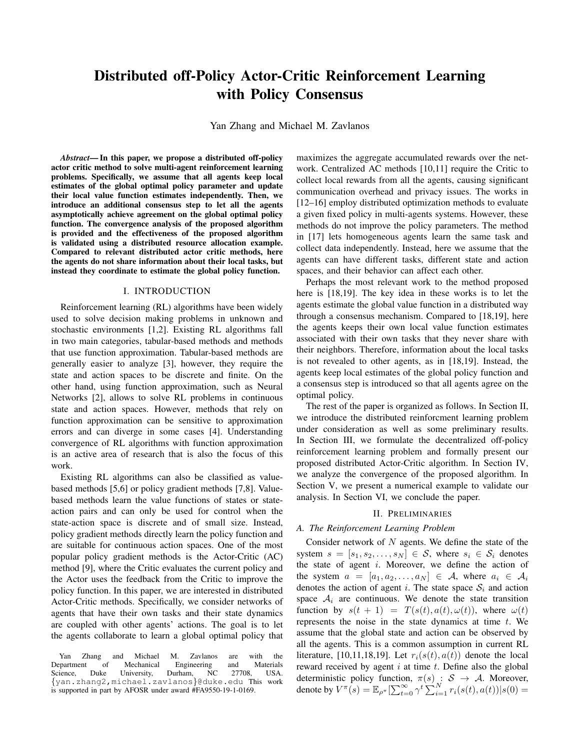# Distributed off-Policy Actor-Critic Reinforcement Learning with Policy Consensus

Yan Zhang and Michael M. Zavlanos

*Abstract*— In this paper, we propose a distributed off-policy actor critic method to solve multi-agent reinforcement learning problems. Specifically, we assume that all agents keep local estimates of the global optimal policy parameter and update their local value function estimates independently. Then, we introduce an additional consensus step to let all the agents asymptotically achieve agreement on the global optimal policy function. The convergence analysis of the proposed algorithm is provided and the effectiveness of the proposed algorithm is validated using a distributed resource allocation example. Compared to relevant distributed actor critic methods, here the agents do not share information about their local tasks, but instead they coordinate to estimate the global policy function.

### I. INTRODUCTION

Reinforcement learning (RL) algorithms have been widely used to solve decision making problems in unknown and stochastic environments [1,2]. Existing RL algorithms fall in two main categories, tabular-based methods and methods that use function approximation. Tabular-based methods are generally easier to analyze [3], however, they require the state and action spaces to be discrete and finite. On the other hand, using function approximation, such as Neural Networks [2], allows to solve RL problems in continuous state and action spaces. However, methods that rely on function approximation can be sensitive to approximation errors and can diverge in some cases [4]. Understanding convergence of RL algorithms with function approximation is an active area of research that is also the focus of this work.

Existing RL algorithms can also be classified as valuebased methods [5,6] or policy gradient methods [7,8]. Valuebased methods learn the value functions of states or stateaction pairs and can only be used for control when the state-action space is discrete and of small size. Instead, policy gradient methods directly learn the policy function and are suitable for continuous action spaces. One of the most popular policy gradient methods is the Actor-Critic (AC) method [9], where the Critic evaluates the current policy and the Actor uses the feedback from the Critic to improve the policy function. In this paper, we are interested in distributed Actor-Critic methods. Specifically, we consider networks of agents that have their own tasks and their state dynamics are coupled with other agents' actions. The goal is to let the agents collaborate to learn a global optimal policy that

Yan Zhang and Michael M. Zavlanos are with the<br>Department of Mechanical Engineering and Materials Department of Mechanical Engineering and Materials Science, Duke University, Durham, NC 27708, USA. Science, Duke University, Durham, NC 27708, USA.<br>{yan.zhang2,michael.zavlanos}@duke.edu This work is supported in part by AFOSR under award #FA9550-19-1-0169.

maximizes the aggregate accumulated rewards over the network. Centralized AC methods [10,11] require the Critic to collect local rewards from all the agents, causing significant communication overhead and privacy issues. The works in [12–16] employ distributed optimization methods to evaluate a given fixed policy in multi-agents systems. However, these methods do not improve the policy parameters. The method in [17] lets homogeneous agents learn the same task and collect data independently. Instead, here we assume that the agents can have different tasks, different state and action spaces, and their behavior can affect each other.

Perhaps the most relevant work to the method proposed here is [18,19]. The key idea in these works is to let the agents estimate the global value function in a distributed way through a consensus mechanism. Compared to [18,19], here the agents keeps their own local value function estimates associated with their own tasks that they never share with their neighbors. Therefore, information about the local tasks is not revealed to other agents, as in [18,19]. Instead, the agents keep local estimates of the global policy function and a consensus step is introduced so that all agents agree on the optimal policy.

The rest of the paper is organized as follows. In Section II, we introduce the distributed reinforcment learning problem under consideration as well as some preliminary results. In Section III, we formulate the decentralized off-policy reinforcement learning problem and formally present our proposed distributed Actor-Critic algorithm. In Section IV, we analyze the convergence of the proposed algorithm. In Section V, we present a numerical example to validate our analysis. In Section VI, we conclude the paper.

### II. PRELIMINARIES

### *A. The Reinforcement Learning Problem*

Consider network of  $N$  agents. We define the state of the system  $s = [s_1, s_2, \ldots, s_N] \in S$ , where  $s_i \in S_i$  denotes the state of agent  $i$ . Moreover, we define the action of the system  $a = [a_1, a_2, \dots, a_N] \in \mathcal{A}$ , where  $a_i \in \mathcal{A}$ denotes the action of agent i. The state space  $S_i$  and action space  $A_i$  are continuous. We denote the state transition function by  $s(t + 1) = T(s(t), a(t), \omega(t))$ , where  $\omega(t)$ represents the noise in the state dynamics at time  $t$ . We assume that the global state and action can be observed by all the agents. This is a common assumption in current RL literature, [10,11,18,19]. Let  $r_i(s(t), a(t))$  denote the local reward received by agent  $i$  at time  $t$ . Define also the global deterministic policy function,  $\pi(s) : S \rightarrow A$ . Moreover, denote by  $V^{\pi}(s) = \mathbb{E}_{\rho^{\pi}}[\sum_{t=0}^{\infty} \gamma^{t} \sum_{i=1}^{N} r_{i}(s(t), a(t)) | s(0) =$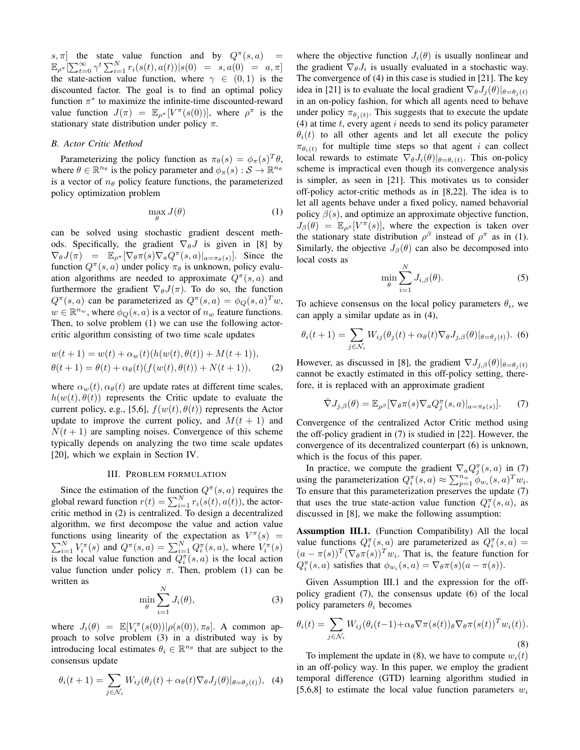s,  $\pi$ ] the state value function and by  $Q^{\pi}(s, a)$  =  $\mathbb{E}_{\rho^{\pi}}[\sum_{t=0}^{\infty} \gamma^{t} \sum_{i=1}^{N} r_{i}(s(t), a(t)) | s(0) = s, a(0) = a, \pi]$ the state-action value function, where  $\gamma \in (0,1)$  is the discounted factor. The goal is to find an optimal policy function  $\pi^*$  to maximize the infinite-time discounted-reward value function  $J(\pi) = \mathbb{E}_{\rho^{\pi}}[V^{\pi}(s(0))]$ , where  $\rho^{\pi}$  is the stationary state distribution under policy  $\pi$ .

### *B. Actor Critic Method*

Parameterizing the policy function as  $\pi_{\theta}(s) = \phi_{\pi}(s)^{T} \theta$ , where  $\theta \in \mathbb{R}^{n_{\theta}}$  is the policy parameter and  $\phi_{\pi}(s) : \mathcal{S} \to \mathbb{R}^{n_{\theta}}$ is a vector of  $n_{\theta}$  policy feature functions, the parameterized policy optimization problem

$$
\max_{\theta} J(\theta) \tag{1}
$$

can be solved using stochastic gradient descent methods. Specifically, the gradient  $\nabla_{\theta}J$  is given in [8] by  $\nabla_{\theta} J(\pi) = \mathbb{E}_{\rho^{\pi}}[\nabla_{\theta} \pi(s) \nabla_{a} Q^{\pi}(s, a)|_{a = \pi_{\theta}(s)}].$  Since the function  $Q^{\pi}(s, a)$  under policy  $\pi_{\theta}$  is unknown, policy evaluation algorithms are needed to approximate  $Q^{\pi}(s, a)$  and furthermore the gradient  $\nabla_{\theta} J(\pi)$ . To do so, the function  $Q^{\pi}(s, a)$  can be parameterized as  $Q^{\pi}(s, a) = \phi_Q(s, a)^T w$ ,  $w \in \mathbb{R}^{n_w}$ , where  $\phi_Q(s, a)$  is a vector of  $n_w$  feature functions. Then, to solve problem (1) we can use the following actorcritic algorithm consisting of two time scale updates

$$
w(t + 1) = w(t) + \alpha_w(t)(h(w(t), \theta(t)) + M(t + 1)),
$$
  
 
$$
\theta(t + 1) = \theta(t) + \alpha_{\theta}(t)(f(w(t), \theta(t)) + N(t + 1)),
$$
 (2)

where  $\alpha_w(t)$ ,  $\alpha_\theta(t)$  are update rates at different time scales,  $h(w(t), \theta(t))$  represents the Critic update to evaluate the current policy, e.g., [5,6],  $f(w(t), \theta(t))$  represents the Actor update to improve the current policy, and  $M(t + 1)$  and  $N(t + 1)$  are sampling noises. Convergence of this scheme typically depends on analyzing the two time scale updates [20], which we explain in Section IV.

#### III. PROBLEM FORMULATION

Since the estimation of the function  $Q^{\pi}(s, a)$  requires the global reward function  $r(t) = \sum_{i=1}^{N} r_i(s(t), a(t))$ , the actorcritic method in (2) is centralized. To design a decentralized algorithm, we first decompose the value and action value functions using linearity of the expectation as  $V^{\pi}$ P nctions using linearity of the expectation as  $V^{\pi}(s) = N \prod_{i=1}^{N} V_i^{\pi}(s)$  and  $Q^{\pi}(s, a) = \sum_{i=1}^{N} Q_i^{\pi}(s, a)$ , where  $V_i^{\pi}(s)$ is the local value function and  $Q_i^{\pi}(s, a)$  is the local action value function under policy  $\pi$ . Then, problem (1) can be written as  $\mathbf{v}$ 

$$
\min_{\theta} \sum_{i=1}^{N} J_i(\theta),\tag{3}
$$

where  $J_i(\theta) = \mathbb{E}[V_i^{\pi}(s(0)) | \rho(s(0)), \pi_{\theta}]$ . A common approach to solve problem (3) in a distributed way is by introducing local estimates  $\theta_i \in \mathbb{R}^{n_\theta}$  that are subject to the consensus update

$$
\theta_i(t+1) = \sum_{j \in \mathcal{N}_i} W_{ij}(\theta_j(t) + \alpha_\theta(t) \nabla_\theta J_j(\theta)|_{\theta = \theta_j(t)}), \tag{4}
$$

where the objective function  $J_i(\theta)$  is usually nonlinear and the gradient  $\nabla_{\theta} J_i$  is usually evaluated in a stochastic way. The convergence of (4) in this case is studied in [21]. The key idea in [21] is to evaluate the local gradient  $\nabla_{\theta} J_i(\theta)|_{\theta=\theta_i(t)}$ in an on-policy fashion, for which all agents need to behave under policy  $\pi_{\theta_j(t)}$ . This suggests that to execute the update (4) at time  $t$ , every agent  $i$  needs to send its policy parameter  $\theta_i(t)$  to all other agents and let all execute the policy  $\pi_{\theta_i(t)}$  for multiple time steps so that agent i can collect local rewards to estimate  $\nabla_{\theta} J_i(\theta)|_{\theta = \theta_i(t)}$ . This on-policy scheme is impractical even though its convergence analysis is simpler, as seen in [21]. This motivates us to consider off-policy actor-critic methods as in [8,22]. The idea is to let all agents behave under a fixed policy, named behavorial policy  $\beta(s)$ , and optimize an approximate objective function,  $J_{\beta}(\theta) = \mathbb{E}_{\rho^{\beta}}[V^{\pi}(s)],$  where the expection is taken over the stationary state distribution  $\rho^{\beta}$  instead of  $\rho^{\pi}$  as in (1). Similarly, the objective  $J_\beta(\theta)$  can also be decomposed into local costs as

$$
\min_{\theta} \sum_{i=1}^{N} J_{i,\beta}(\theta). \tag{5}
$$

To achieve consensus on the local policy parameters  $\theta_i$ , we can apply a similar update as in (4),

$$
\theta_i(t+1) = \sum_{j \in \mathcal{N}_i} W_{ij}(\theta_j(t) + \alpha_\theta(t) \nabla_\theta J_{j,\beta}(\theta)|_{\theta = \theta_j(t)}).
$$
 (6)

However, as discussed in [8], the gradient  $\nabla J_{j,\beta}(\theta)|_{\theta=\theta_j(t)}$ cannot be exactly estimated in this off-policy setting, therefore, it is replaced with an approximate gradient

$$
\hat{\nabla}J_{j,\beta}(\theta) = \mathbb{E}_{\rho^{\beta}}[\nabla_{\theta}\pi(s)\nabla_a Q_j^{\pi}(s,a)|_{a=\pi_{\theta}(s)}].
$$
 (7)

Convergence of the centralized Actor Critic method using the off-policy gradient in (7) is studied in [22]. However, the convergence of its decentralized counterpart (6) is unknown, which is the focus of this paper.

In practice, we compute the gradient  $\nabla_a Q_j^{\pi}(s, a)$  in (7) using the parameterization  $Q_i^{\pi}(s, a) \approx \sum_{p=1}^{n_w} \phi_{w_i}(s, a)^T w_i$ . To ensure that this parameterization preserves the update (7) that uses the true state-action value function  $Q_i^{\pi}(s, a)$ , as discussed in [8], we make the following assumption:

Assumption III.1. (Function Compatibility) All the local value functions  $Q_i^{\pi}(s, a)$  are parameterized as  $Q_i^{\pi}(s, a)$  =  $(a - \pi(s))^T (\nabla_{\theta} \pi(s))^T w_i$ . That is, the feature function for  $Q_i^{\pi}(s, a)$  satisfies that  $\phi_{w_i}(s, a) = \nabla_{\theta} \pi(s) (a - \pi(s))$ .

Given Assumption III.1 and the expression for the offpolicy gradient (7), the consensus update (6) of the local policy parameters  $\theta_i$  becomes

$$
\theta_i(t) = \sum_{j \in \mathcal{N}_i} W_{ij} (\theta_i(t-1) + \alpha_\theta \nabla \pi(s(t))_\theta \nabla_\theta \pi(s(t))^T w_i(t)).
$$
\n(8)

To implement the update in (8), we have to compute  $w_i(t)$ in an off-policy way. In this paper, we employ the gradient temporal difference (GTD) learning algorithm studied in [5,6,8] to estimate the local value function parameters  $w_i$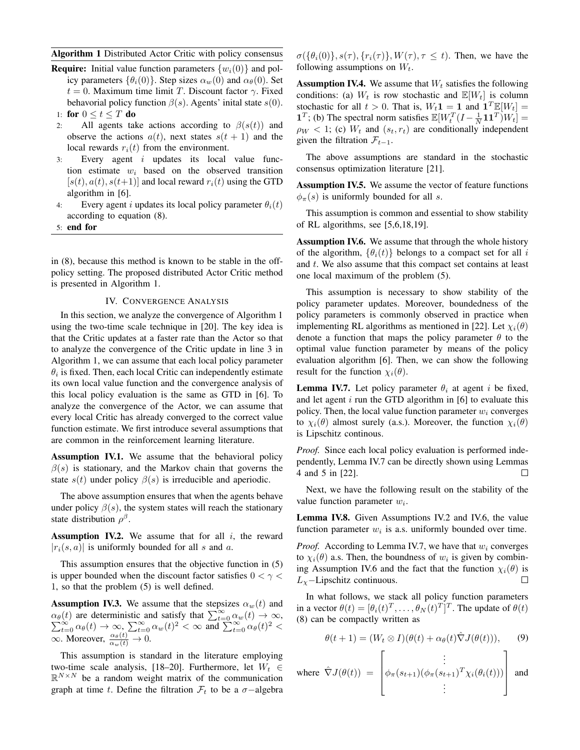# Algorithm 1 Distributed Actor Critic with policy consensus

- **Require:** Initial value function parameters  $\{w_i(0)\}\$  and policy parameters  $\{\theta_i(0)\}\$ . Step sizes  $\alpha_w(0)$  and  $\alpha_\theta(0)$ . Set  $t = 0$ . Maximum time limit T. Discount factor  $\gamma$ . Fixed behavorial policy function  $\beta(s)$ . Agents' inital state  $s(0)$ . 1: for  $0 \le t \le T$  do
- 2: All agents take actions according to  $\beta(s(t))$  and observe the actions  $a(t)$ , next states  $s(t + 1)$  and the local rewards  $r_i(t)$  from the environment.
- $3:$  Every agent i updates its local value function estimate  $w_i$  based on the observed transition  $[s(t), a(t), s(t+1)]$  and local reward  $r_i(t)$  using the GTD algorithm in [6].
- 4: Every agent i updates its local policy parameter  $\theta_i(t)$ according to equation (8).
- 5: end for

in (8), because this method is known to be stable in the offpolicy setting. The proposed distributed Actor Critic method is presented in Algorithm 1.

## IV. CONVERGENCE ANALYSIS

In this section, we analyze the convergence of Algorithm 1 using the two-time scale technique in [20]. The key idea is that the Critic updates at a faster rate than the Actor so that to analyze the convergence of the Critic update in line 3 in Algorithm 1, we can assume that each local policy parameter  $\theta_i$  is fixed. Then, each local Critic can independently estimate its own local value function and the convergence analysis of this local policy evaluation is the same as GTD in [6]. To analyze the convergence of the Actor, we can assume that every local Critic has already converged to the correct value function estimate. We first introduce several assumptions that are common in the reinforcement learning literature.

Assumption IV.1. We assume that the behavioral policy  $\beta(s)$  is stationary, and the Markov chain that governs the state  $s(t)$  under policy  $\beta(s)$  is irreducible and aperiodic.

The above assumption ensures that when the agents behave under policy  $\beta(s)$ , the system states will reach the stationary state distribution  $\rho^{\beta}$ .

Assumption IV.2. We assume that for all  $i$ , the reward  $|r_i(s, a)|$  is uniformly bounded for all s and a.

This assumption ensures that the objective function in (5) is upper bounded when the discount factor satisfies  $0 < \gamma <$ 1, so that the problem (5) is well defined.

**Assumption IV.3.** We assume that the stepsizes  $\alpha_w(t)$  and  $\alpha_{\theta}(t)$  are deterministic and satisfy that  $\sum_{t=0}^{\infty} \alpha_w(t) \to \infty$ ,<br>  $\sum_{t=0}^{\infty} \alpha_{\theta}(t) \to \infty$ ,  $\sum_{t=0}^{\infty} \alpha_w(t)^2 < \infty$  and  $\sum_{t=0}^{\infty} \alpha_{\theta}(t)^2 <$  $\infty$ . Moreover,  $\frac{\alpha_{\theta}(t)}{\alpha_w(t)} \to 0$ .

This assumption is standard in the literature employing two-time scale analysis, [18–20]. Furthermore, let  $W_t \in$  $\mathbb{R}^{N \times N}$  be a random weight matrix of the communication graph at time t. Define the filtration  $\mathcal{F}_t$  to be a  $\sigma$ -algebra  $\sigma({\lbrace \theta_i(0) \rbrace}, s(\tau), {\lbrace r_i(\tau) \rbrace}, W(\tau), \tau \leq t)$ . Then, we have the following assumptions on  $W_t$ .

**Assumption IV.4.** We assume that  $W_t$  satisfies the following conditions: (a)  $W_t$  is row stochastic and  $\mathbb{E}[W_t]$  is column stochastic for all  $t > 0$ . That is,  $W_t \mathbf{1} = \mathbf{1}$  and  $\mathbf{1}^T \mathbb{E}[W_t] =$ **1**<sup>T</sup>; (b) The spectral norm satisfies  $\mathbb{E}[W_t^T(I - \frac{1}{N} \mathbf{1} \mathbf{1}^T)W_t] =$  $\rho_W$  < 1; (c)  $W_t$  and  $(s_t, r_t)$  are conditionally independent given the filtration  $\mathcal{F}_{t-1}$ .

The above assumptions are standard in the stochastic consensus optimization literature [21].

Assumption IV.5. We assume the vector of feature functions  $\phi_{\pi}(s)$  is uniformly bounded for all s.

This assumption is common and essential to show stability of RL algorithms, see [5,6,18,19].

Assumption IV.6. We assume that through the whole history of the algorithm,  $\{\theta_i(t)\}\$  belongs to a compact set for all i and t. We also assume that this compact set contains at least one local maximum of the problem (5).

This assumption is necessary to show stability of the policy parameter updates. Moreover, boundedness of the policy parameters is commonly observed in practice when implementing RL algorithms as mentioned in [22]. Let  $\chi_i(\theta)$ denote a function that maps the policy parameter  $\theta$  to the optimal value function parameter by means of the policy evaluation algorithm [6]. Then, we can show the following result for the function  $\chi_i(\theta)$ .

**Lemma IV.7.** Let policy parameter  $\theta_i$  at agent i be fixed, and let agent  $i$  run the GTD algorithm in [6] to evaluate this policy. Then, the local value function parameter  $w_i$  converges to  $\chi_i(\theta)$  almost surely (a.s.). Moreover, the function  $\chi_i(\theta)$ is Lipschitz continous.

*Proof.* Since each local policy evaluation is performed independently, Lemma IV.7 can be directly shown using Lemmas 4 and 5 in [22].  $\Box$ 

Next, we have the following result on the stability of the value function parameter  $w_i$ .

Lemma IV.8. Given Assumptions IV.2 and IV.6, the value function parameter  $w_i$  is a.s. uniformly bounded over time.

*Proof.* According to Lemma IV.7, we have that  $w_i$  converges to  $\chi_i(\theta)$  a.s. Then, the boundness of  $w_i$  is given by combining Assumption IV.6 and the fact that the function  $\chi_i(\theta)$  is  $\Box$  $L_{\chi}$ −Lipschitz continuous.

In what follows, we stack all policy function parameters in a vector  $\theta(t) = [\theta_i(t)^T, \dots, \theta_N(t)^T]^T$ . The update of  $\theta(t)$ (8) can be compactly written as

$$
\theta(t+1) = (W_t \otimes I)(\theta(t) + \alpha_{\theta}(t)\hat{\nabla}J(\theta(t))), \qquad (9)
$$

where 
$$
\hat{\nabla}J(\theta(t)) = \begin{bmatrix} \vdots \\ \phi_{\pi}(s_{t+1})(\phi_{\pi}(s_{t+1})^T \chi_i(\theta_i(t))) \\ \vdots \end{bmatrix}
$$
 and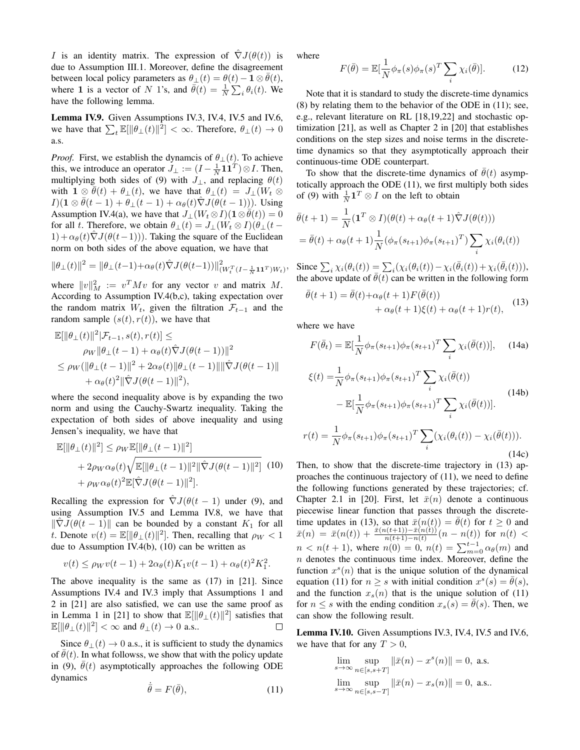I is an identity matrix. The expression of  $\hat{\nabla}J(\theta(t))$  is due to Assumption III.1. Moreover, define the disagreement between local policy parameters as  $\theta_{\perp}(t) = \theta(t) - \mathbf{1} \otimes \overline{\theta}(t)$ , where 1 is a vector of N 1's, and  $\bar{\theta}(t) = \frac{1}{N} \sum_i \theta_i(t)$ . We have the following lemma.

Lemma IV.9. Given Assumptions IV.3, IV.4, IV.5 and IV.6, we have that  $\sum_t \mathbb{E}[\|\theta_{\perp}(t)\|^2] < \infty$ . Therefore,  $\theta_{\perp}(t) \to 0$ a.s.

*Proof.* First, we establish the dynamcis of  $\theta_{\perp}(t)$ . To achieve this, we introduce an operator  $J_{\perp} := (I - \frac{1}{N} \mathbf{1} \mathbf{1}^T) \otimes I$ . Then, multiplying both sides of (9) with  $J_{\perp}$ , and replacing  $\theta(t)$ with  $\mathbf{1} \otimes \overline{\theta}(t) + \theta_{\perp}(t)$ , we have that  $\theta_{\perp}(t) = J_{\perp}(W_t \otimes$  $I(1 \otimes \overline{\theta}(t-1) + \theta_{\perp}(t-1) + \alpha_{\theta}(t)\nabla J(\theta(t-1))).$  Using Assumption IV.4(a), we have that  $J_{\perp}(W_t \otimes I)(1 \otimes \theta(t)) = 0$ for all t. Therefore, we obtain  $\theta_{\perp}(t) = J_{\perp}(W_t \otimes I)(\theta_{\perp}(t 1)+\alpha_{\theta}(t)\nabla J(\theta(t-1))$ . Taking the square of the Euclidean norm on both sides of the above equation, we have that

$$
\|\theta_{\perp}(t)\|^2 = \|\theta_{\perp}(t-1) + \alpha_{\theta}(t)\hat{\nabla}J(\theta(t-1))\|_{(W_t^T(I - \frac{1}{N}\mathbf{1}\mathbf{1}^T)W_t)}^2,
$$

where  $||v||_M^2 := v^T M v$  for any vector v and matrix M. According to Assumption IV.4(b,c), taking expectation over the random matrix  $W_t$ , given the filtration  $\mathcal{F}_{t-1}$  and the random sample  $(s(t), r(t))$ , we have that

$$
\mathbb{E}[\|\theta_{\perp}(t)\|^2|\mathcal{F}_{t-1},s(t),r(t)] \le
$$
\n
$$
\rho_W \|\theta_{\perp}(t-1) + \alpha_{\theta}(t)\hat{\nabla}J(\theta(t-1))\|^2
$$
\n
$$
\leq \rho_W (\|\theta_{\perp}(t-1)\|^2 + 2\alpha_{\theta}(t)\|\theta_{\perp}(t-1)\|\|\hat{\nabla}J(\theta(t-1)\| + \alpha_{\theta}(t)^2\|\hat{\nabla}J(\theta(t-1)\|^2),
$$

where the second inequality above is by expanding the two norm and using the Cauchy-Swartz inequality. Taking the expectation of both sides of above inequality and using Jensen's inequality, we have that

$$
\mathbb{E}[\|\theta_{\perp}(t)\|^2] \le \rho_W \mathbb{E}[\|\theta_{\perp}(t-1)\|^2] + 2\rho_W \alpha_{\theta}(t) \sqrt{\mathbb{E}[\|\theta_{\perp}(t-1)\|^2 \|\hat{\nabla}J(\theta(t-1)\|^2]} \quad (10) + \rho_W \alpha_{\theta}(t)^2 \mathbb{E}[\hat{\nabla}J(\theta(t-1)\|^2].
$$

Recalling the expression for  $\nabla J(\theta(t-1))$  under (9), and using Assumption IV.5 and Lemma IV.8, we have that  $\|\nabla J(\theta(t-1))\|$  can be bounded by a constant  $K_1$  for all t. Denote  $v(t) = \mathbb{E}[\|\theta_{\perp}(t)\|^2]$ . Then, recalling that  $\rho_W < 1$ due to Assumption IV.4(b), (10) can be written as

$$
v(t) \le \rho_W v(t-1) + 2\alpha_\theta(t) K_1 v(t-1) + \alpha_\theta(t)^2 K_1^2.
$$

The above inequality is the same as (17) in [21]. Since Assumptions IV.4 and IV.3 imply that Assumptions 1 and 2 in [21] are also satisfied, we can use the same proof as in Lemma 1 in [21] to show that  $\mathbb{E}[\|\theta_{\perp}(t)\|^2]$  satisfies that  $\mathbb{E}[\|\theta_{\perp}(t)\|^2]<\infty$  and  $\theta_{\perp}(t)\to 0$  a.s..  $\Box$ 

Since  $\theta_1(t) \to 0$  a.s., it is sufficient to study the dynamics of  $\bar{\theta}(t)$ . In what followss, we show that with the policy update in (9),  $\bar{\theta}(t)$  asymptotically approaches the following ODE dynamics

$$
\dot{\bar{\theta}} = F(\bar{\theta}),\tag{11}
$$

where

$$
F(\bar{\theta}) = \mathbb{E}[\frac{1}{N}\phi_{\pi}(s)\phi_{\pi}(s)^{T}\sum_{i}\chi_{i}(\bar{\theta})]. \tag{12}
$$

Note that it is standard to study the discrete-time dynamics (8) by relating them to the behavior of the ODE in (11); see, e.g., relevant literature on RL [18,19,22] and stochastic optimization [21], as well as Chapter 2 in [20] that establishes conditions on the step sizes and noise terms in the discretetime dynamics so that they asymptotically approach their continuous-time ODE counterpart.

To show that the discrete-time dynamics of  $\bar{\theta}(t)$  asymptotically approach the ODE (11), we first multiply both sides of (9) with  $\frac{1}{N} \mathbf{1}^T \otimes I$  on the left to obtain

$$
\bar{\theta}(t+1) = \frac{1}{N} (\mathbf{1}^T \otimes I)(\theta(t) + \alpha_{\theta}(t+1) \hat{\nabla} J(\theta(t)))
$$
  
=  $\bar{\theta}(t) + \alpha_{\theta}(t+1) \frac{1}{N} (\phi_{\pi}(s_{t+1}) \phi_{\pi}(s_{t+1})^T) \sum_{i} \chi_i(\theta_i(t))$ 

Since  $\sum_i \chi_i(\theta_i(t)) = \sum_i (\chi_i(\theta_i(t)) - \chi_i(\bar{\theta}_i(t)) + \chi_i(\bar{\theta}_i(t))),$ the above update of  $\overline{\theta}(t)$  can be written in the following form

$$
\bar{\theta}(t+1) = \bar{\theta}(t) + \alpha_{\theta}(t+1)F(\bar{\theta}(t)) \n+ \alpha_{\theta}(t+1)\xi(t) + \alpha_{\theta}(t+1)r(t),
$$
\n(13)

where we have

$$
F(\bar{\theta}_t) = \mathbb{E}[\frac{1}{N}\phi_\pi(s_{t+1})\phi_\pi(s_{t+1})^T \sum_i \chi_i(\bar{\theta}(t))], \quad (14a)
$$

$$
\xi(t) = \frac{1}{N} \phi_{\pi}(s_{t+1}) \phi_{\pi}(s_{t+1})^T \sum_{i} \chi_{i}(\bar{\theta}(t))
$$
  
\n
$$
- \mathbb{E}[\frac{1}{N} \phi_{\pi}(s_{t+1}) \phi_{\pi}(s_{t+1})^T \sum_{i} \chi_{i}(\bar{\theta}(t))].
$$
  
\n
$$
r(t) = \frac{1}{N} \phi_{\pi}(s_{t+1}) \phi_{\pi}(s_{t+1})^T \sum_{i} (\chi_{i}(\theta_{i}(t)) - \chi_{i}(\bar{\theta}(t))).
$$
\n(14c)

Then, to show that the discrete-time trajectory in (13) approaches the continuous trajectory of (11), we need to define the following functions generated by these trajectories; cf. Chapter 2.1 in [20]. First, let  $\bar{x}(n)$  denote a continuous piecewise linear function that passes through the discretetime updates in (13), so that  $\bar{x}(n(t)) = \bar{\theta}(t)$  for  $t > 0$  and  $\bar{x}(n) \ = \ \bar{x}(n(t)) + \frac{\bar{x}(n(t+1)) - \bar{x}(n(t))}{n(t+1) - n(t)} (n - n(t)) \ \ \text{for} \ \ n(t) \ < \ \bar{x}(n(t))$  $n < n(t + 1)$ , where  $n(0) = 0$ ,  $n(t) = \sum_{m=0}^{t-1} \alpha_{\theta}(m)$  and  $n$  denotes the continuous time index. Moreover, define the function  $x^s(n)$  that is the unique solution of the dynamical equation (11) for  $n \geq s$  with initial condition  $x^s(s) = \overline{\theta}(s)$ , and the function  $x_s(n)$  that is the unique solution of (11) for  $n \leq s$  with the ending condition  $x_s(s) = \bar{\theta}(s)$ . Then, we can show the following result.

Lemma IV.10. Given Assumptions IV.3, IV.4, IV.5 and IV.6, we have that for any  $T > 0$ ,

$$
\lim_{s \to \infty} \sup_{n \in [s, s+T]} ||\bar{x}(n) - x^s(n)|| = 0, \text{ a.s.}
$$
  

$$
\lim_{s \to \infty} \sup_{n \in [s, s-T]} ||\bar{x}(n) - x_s(n)|| = 0, \text{ a.s.}.
$$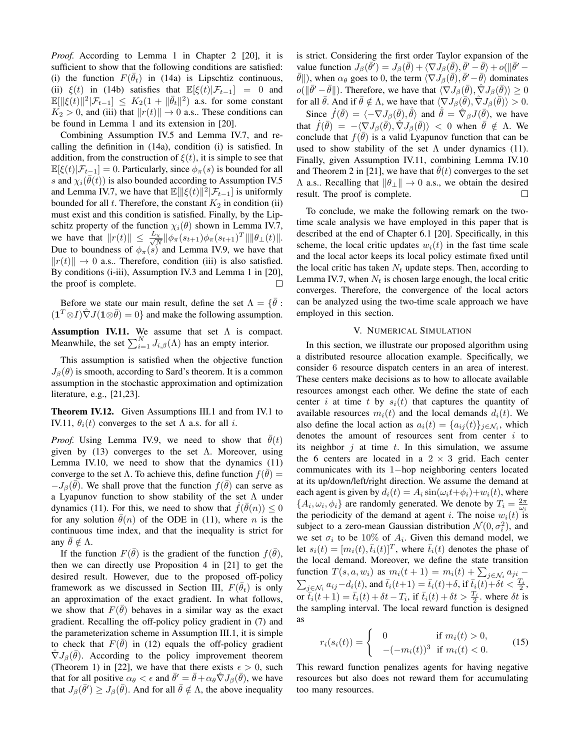*Proof.* According to Lemma 1 in Chapter 2 [20], it is sufficient to show that the following conditions are satisfied: (i) the function  $F(\bar{\theta}_t)$  in (14a) is Lipschtiz continuous, (ii)  $\xi(t)$  in (14b) satisfies that  $\mathbb{E}[\xi(t)|\mathcal{F}_{t-1}] = 0$  and  $\mathbb{E}[\|\xi(t)\|^2|\mathcal{F}_{t-1}] \leq K_2(1 + \|\bar{\theta}_t\|^2)$  a.s. for some constant  $K_2 > 0$ , and (iii) that  $||r(t)|| \rightarrow 0$  a.s.. These conditions can be found in Lemma 1 and its extension in [20].

Combining Assumption IV.5 and Lemma IV.7, and recalling the definition in (14a), condition (i) is satisfied. In addition, from the construction of  $\xi(t)$ , it is simple to see that  $\mathbb{E}[\xi(t)|\mathcal{F}_{t-1}] = 0$ . Particularly, since  $\phi_{\pi}(s)$  is bounded for all s and  $\chi_i(\bar{\theta}(t))$  is also bounded according to Assumption IV.5 and Lemma IV.7, we have that  $\mathbb{E}[\|\xi(t)\|^2 | \mathcal{F}_{t-1}]$  is uniformly bounded for all  $t$ . Therefore, the constant  $K_2$  in condition (ii) must exist and this condition is satisfied. Finally, by the Lipschitz property of the function  $\chi_i(\theta)$  shown in Lemma IV.7, we have that  $||r(t)|| \leq \frac{L_x}{\sqrt{2}}$  $\frac{d}{d\lambda}$  || $\phi_{\pi}(s_{t+1})\phi_{\pi}(s_{t+1})^T$ ||| $\theta_{\perp}(t)$ ||. Due to boundness of  $\phi_{\pi}(s)$  and Lemma IV.9, we have that  $||r(t)|| \rightarrow 0$  a.s.. Therefore, condition (iii) is also satisfied. By conditions (i-iii), Assumption IV.3 and Lemma 1 in [20], the proof is complete. П

Before we state our main result, define the set  $\Lambda = \{ \bar{\theta} :$  $(1^T \otimes I)\hat{\nabla}J(1 \otimes \overline{\theta}) = 0$ } and make the following assumption.

Assumption IV.11. We assume that set  $\Lambda$  is compact. Meanwhile, the set  $\sum_{i=1}^{N} J_{i,\beta}(\Lambda)$  has an empty interior.

This assumption is satisfied when the objective function  $J_\beta(\theta)$  is smooth, according to Sard's theorem. It is a common assumption in the stochastic approximation and optimization literature, e.g., [21,23].

Theorem IV.12. Given Assumptions III.1 and from IV.1 to IV.11,  $\theta_i(t)$  converges to the set  $\Lambda$  a.s. for all *i*.

*Proof.* Using Lemma IV.9, we need to show that  $\bar{\theta}(t)$ given by (13) converges to the set  $\Lambda$ . Moreover, using Lemma IV.10, we need to show that the dynamics (11) converge to the set  $\Lambda$ . To achieve this, define function  $f(\bar{\theta}) =$  $-J_\beta(\bar{\theta})$ . We shall prove that the function  $f(\bar{\theta})$  can serve as a Lyapunov function to show stability of the set  $\Lambda$  under dynamics (11). For this, we need to show that  $\dot{f}(\bar{\theta}(n)) \leq 0$ for any solution  $\bar{\theta}(n)$  of the ODE in (11), where n is the continuous time index, and that the inequality is strict for any  $\theta \notin \Lambda$ .

If the function  $F(\bar{\theta})$  is the gradient of the function  $f(\bar{\theta})$ , then we can directly use Proposition 4 in [21] to get the desired result. However, due to the proposed off-policy framework as we discussed in Section III,  $F(\bar{\theta}_t)$  is only an approximation of the exact gradient. In what follows, we show that  $F(\bar{\theta})$  behaves in a similar way as the exact gradient. Recalling the off-policy policy gradient in (7) and the parameterization scheme in Assumption III.1, it is simple to check that  $F(\bar{\theta})$  in (12) equals the off-policy gradient  $\hat{\nabla}J_{\beta}(\bar{\theta})$ . According to the policy improvement theorem (Theorem 1) in [22], we have that there exists  $\epsilon > 0$ , such that for all positive  $\alpha_{\theta} < \epsilon$  and  $\bar{\theta}' = \bar{\theta} + \alpha_{\theta} \hat{\nabla} J_{\beta}(\bar{\theta})$ , we have that  $J_\beta(\bar{\theta}') \geq J_\beta(\bar{\theta})$ . And for all  $\bar{\theta} \notin \Lambda$ , the above inequality

is strict. Considering the first order Taylor expansion of the value function  $J_{\beta}(\bar{\theta'}) = J_{\beta}(\bar{\theta}) + \langle \nabla J_{\beta}(\bar{\theta}), \bar{\theta'} - \bar{\theta} \rangle + o(\|\bar{\theta'} - \theta'\|)$  $\bar{\theta}$ ||), when  $\alpha_{\theta}$  goes to 0, the term  $\langle \nabla J_{\beta}(\bar{\theta}), \bar{\theta}' - \bar{\theta} \rangle$  dominates  $o(||\bar{\theta}' - \bar{\theta}||)$ . Therefore, we have that  $\langle \nabla J_\beta(\bar{\theta}), \hat{\nabla} J_\beta(\bar{\theta}) \rangle \ge 0$ for all  $\bar{\theta}$ . And if  $\bar{\theta} \notin \Lambda$ , we have that  $\langle \nabla J_{\beta}(\bar{\theta}), \hat{\nabla} J_{\beta}(\bar{\theta}) \rangle > 0$ .

Since  $\dot{f}(\bar{\theta}) = \langle -\nabla J_{\beta}(\bar{\theta}), \dot{\bar{\theta}} \rangle$  and  $\dot{\bar{\theta}} = \hat{\nabla}_{\beta} J(\bar{\theta}),$  we have that  $\dot{f}(\bar{\theta}) = -\langle \nabla J_{\beta}(\bar{\theta}), \hat{\nabla} J_{\beta}(\bar{\theta}) \rangle$  < 0 when  $\bar{\theta} \notin \Lambda$ . We conclude that  $f(\bar{\theta})$  is a valid Lyapunov function that can be used to show stability of the set  $\Lambda$  under dynamics (11). Finally, given Assumption IV.11, combining Lemma IV.10 and Theorem 2 in [21], we have that  $\bar{\theta}(t)$  converges to the set  $\Lambda$  a.s.. Recalling that  $\|\theta\| \to 0$  a.s., we obtain the desired result. The proof is complete. □

To conclude, we make the following remark on the twotime scale analysis we have employed in this paper that is described at the end of Chapter 6.1 [20]. Specifically, in this scheme, the local critic updates  $w_i(t)$  in the fast time scale and the local actor keeps its local policy estimate fixed until the local critic has taken  $N_t$  update steps. Then, according to Lemma IV.7, when  $N_t$  is chosen large enough, the local critic converges. Therefore, the convergence of the local actors can be analyzed using the two-time scale approach we have employed in this section.

### V. NUMERICAL SIMULATION

In this section, we illustrate our proposed algorithm using a distributed resource allocation example. Specifically, we consider 6 resource dispatch centers in an area of interest. These centers make decisions as to how to allocate available resources amongst each other. We define the state of each center i at time t by  $s_i(t)$  that captures the quantity of available resources  $m_i(t)$  and the local demands  $d_i(t)$ . We also define the local action as  $a_i(t) = \{a_{ij}(t)\}_{j \in \mathcal{N}_i}$ , which denotes the amount of resources sent from center  $i$  to its neighbor  $j$  at time  $t$ . In this simulation, we assume the 6 centers are located in a  $2 \times 3$  grid. Each center communicates with its 1−hop neighboring centers located at its up/down/left/right direction. We assume the demand at each agent is given by  $d_i(t) = A_i \sin(\omega_i t + \phi_i) + w_i(t)$ , where  $\{A_i, \omega_i, \phi_i\}$  are randomly generated. We denote by  $T_i = \frac{2\pi}{\omega_i}$ the periodicity of the demand at agent i. The noise  $w_i(t)$  is subject to a zero-mean Gaussian distribution  $\mathcal{N}(0, \sigma_i^2)$ , and we set  $\sigma_i$  to be 10% of  $A_i$ . Given this demand model, we let  $s_i(t) = [m_i(t), \bar{t}_i(t)]^T$ , where  $\bar{t}_i(t)$  denotes the phase of the local demand. Moreover, we define the state transition function  $T(s, a, w_i)$  as  $m_i(t + 1) = m_i(t) + \sum_{j \in \mathcal{N}_i} a_{ji}$  $\sum_{j\in\mathcal{N}_i}a_{ij}\!-\!d_i(t)$ , and  $\bar{t}_i(t\!+\!1)=\bar{t}_i(t)\!+\!\delta,$  if  $\bar{t}_i(t)\!+\!\delta t<\frac{T_i}{2},$ or  $\overline{t}_i(t+1) = \overline{t}_i(t) + \delta t - T_i$ , if  $\overline{t}_i(t) + \delta t > \frac{T_i}{2}$ , where  $\delta t$  is the sampling interval. The local reward function is designed as

$$
r_i(s_i(t)) = \begin{cases} 0 & \text{if } m_i(t) > 0, \\ -(-m_i(t))^3 & \text{if } m_i(t) < 0. \end{cases}
$$
 (15)

This reward function penalizes agents for having negative resources but also does not reward them for accumulating too many resources.